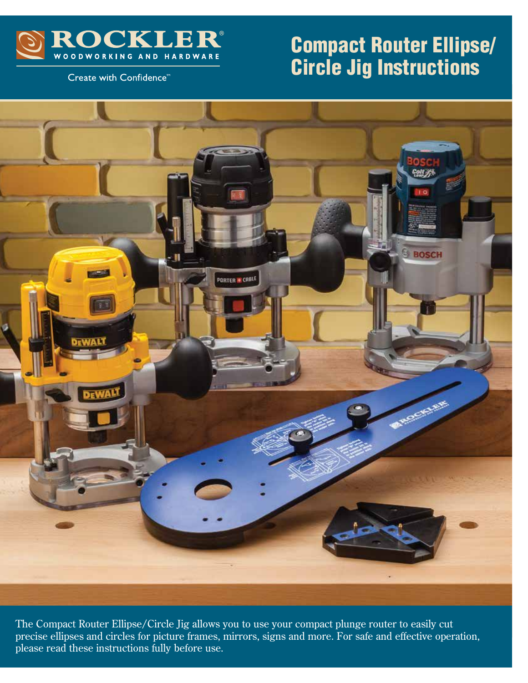

# Compact Router Ellipse/ Circle Jig Instructions

Create with Confidence<sup>™</sup>



The Compact Router Ellipse/Circle Jig allows you to use your compact plunge router to easily cut precise ellipses and circles for picture frames, mirrors, signs and more. For safe and effective operation, please read these instructions fully before use.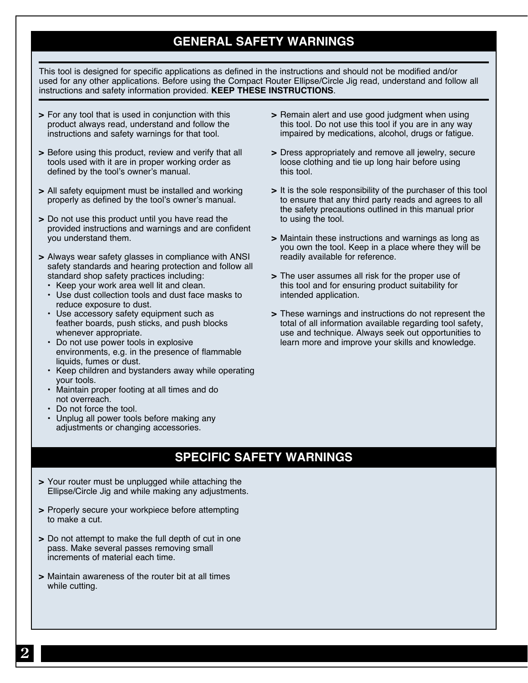## **GENERAL SAFETY WARNINGS**

This tool is designed for specific applications as defined in the instructions and should not be modified and/or used for any other applications. Before using the Compact Router Ellipse/Circle Jig read, understand and follow all instructions and safety information provided. **KEEP THESE INSTRUCTIONS**.

- **>** For any tool that is used in conjunction with this product always read, understand and follow the instructions and safety warnings for that tool.
- **>** Before using this product, review and verify that all tools used with it are in proper working order as defined by the tool's owner's manual.
- **>** All safety equipment must be installed and working properly as defined by the tool's owner's manual.
- **>** Do not use this product until you have read the provided instructions and warnings and are confident you understand them.

**>** Always wear safety glasses in compliance with ANSI safety standards and hearing protection and follow all standard shop safety practices including:

- **•** Keep your work area well lit and clean.
- **•** Use dust collection tools and dust face masks to reduce exposure to dust.
- **•** Use accessory safety equipment such as feather boards, push sticks, and push blocks whenever appropriate.
- **•** Do not use power tools in explosive environments, e.g. in the presence of flammable liquids, fumes or dust.
- **•** Keep children and bystanders away while operating your tools.
- **•** Maintain proper footing at all times and do not overreach.
- **•** Do not force the tool.
- **•** Unplug all power tools before making any adjustments or changing accessories.
- **>** Remain alert and use good judgment when using this tool. Do not use this tool if you are in any way impaired by medications, alcohol, drugs or fatigue.
- **>** Dress appropriately and remove all jewelry, secure loose clothing and tie up long hair before using this tool.
- **>** It is the sole responsibility of the purchaser of this tool to ensure that any third party reads and agrees to all the safety precautions outlined in this manual prior to using the tool.
- **>** Maintain these instructions and warnings as long as you own the tool. Keep in a place where they will be readily available for reference.
- > The user assumes all risk for the proper use of this tool and for ensuring product suitability for intended application.
- **>** These warnings and instructions do not represent the total of all information available regarding tool safety, use and technique. Always seek out opportunities to learn more and improve your skills and knowledge.

# **SPECIFIC SAFETY WARNINGS**

- **>** Your router must be unplugged while attaching the Ellipse/Circle Jig and while making any adjustments.
- **>** Properly secure your workpiece before attempting to make a cut.
- **>** Do not attempt to make the full depth of cut in one pass. Make several passes removing small increments of material each time.
- **>** Maintain awareness of the router bit at all times while cutting.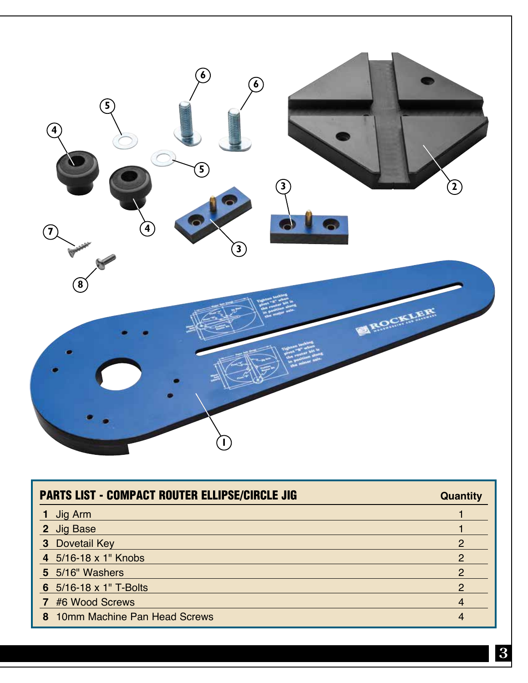

| <b>PARTS LIST - COMPACT ROUTER ELLIPSE/CIRCLE JIG</b> | <b>Quantity</b> |
|-------------------------------------------------------|-----------------|
| Jig Arm                                               |                 |
| 2 Jig Base                                            |                 |
| <b>3</b> Dovetail Key                                 | 2               |
| 4 5/16-18 x 1" Knobs                                  | 2               |
| 5 5/16" Washers                                       | 2               |
| 6 5/16-18 x 1" T-Bolts                                | $\mathcal{P}$   |
| 7 #6 Wood Screws                                      | 4               |
| 8 10mm Machine Pan Head Screws                        | 4               |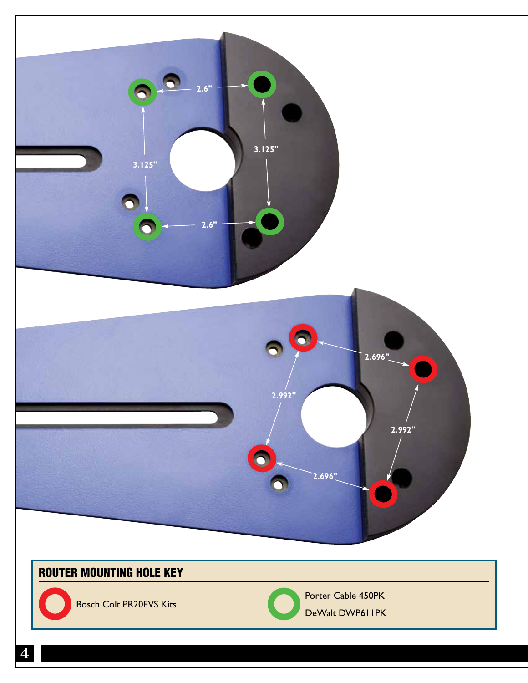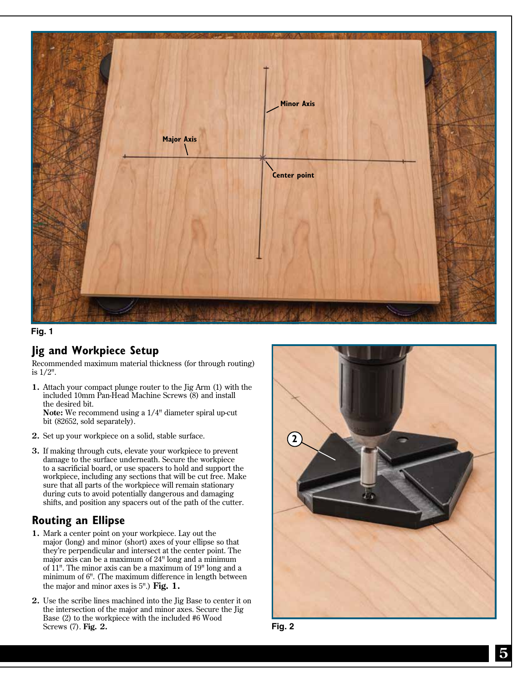



#### **Jig and Workpiece Setup**

Recommended maximum material thickness (for through routing) is 1/2".

- **1.** Attach your compact plunge router to the Jig Arm (1) with the included 10mm Pan-Head Machine Screws (8) and install the desired bit. **Note:** We recommend using a 1/4" diameter spiral up-cut bit (82652, sold separately).
- **2.** Set up your workpiece on a solid, stable surface.
- **3.** If making through cuts, elevate your workpiece to prevent damage to the surface underneath. Secure the workpiece to a sacrificial board, or use spacers to hold and support the workpiece, including any sections that will be cut free. Make sure that all parts of the workpiece will remain stationary during cuts to avoid potentially dangerous and damaging shifts, and position any spacers out of the path of the cutter.

#### **Routing an Ellipse**

- **1.** Mark a center point on your workpiece. Lay out the major (long) and minor (short) axes of your ellipse so that they're perpendicular and intersect at the center point. The major axis can be a maximum of 24" long and a minimum of 11". The minor axis can be a maximum of 19" long and a minimum of 6". (The maximum difference in length between the major and minor axes is 5".) **Fig. 1.**
- **2.** Use the scribe lines machined into the Jig Base to center it on the intersection of the major and minor axes. Secure the Jig Base (2) to the workpiece with the included #6 Wood Screws (7). **Fig. 2.**



**Fig. 2**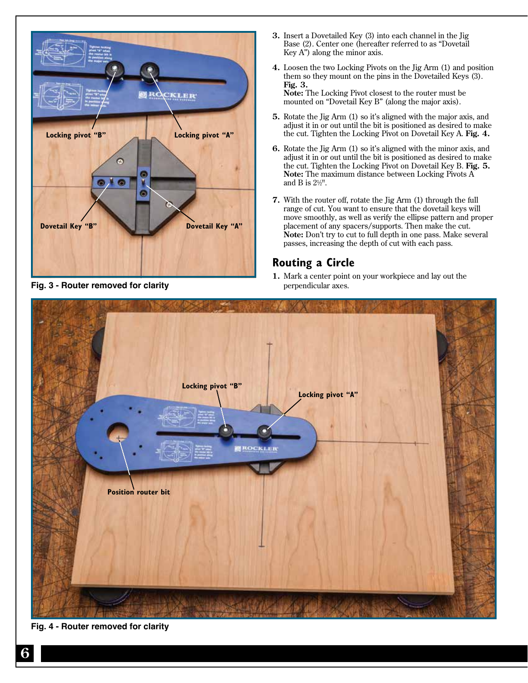

**Fig. 3 - Router removed for clarity**

- **3.** Insert a Dovetailed Key (3) into each channel in the Jig Base (2). Center one (hereafter referred to as "Dovetail Key A") along the minor axis.
- **4.** Loosen the two Locking Pivots on the Jig Arm (1) and position them so they mount on the pins in the Dovetailed Keys (3). **Fig. 3. Note:** The Locking Pivot closest to the router must be

mounted on "Dovetail Key B" (along the major axis).

- **5.** Rotate the Jig Arm (1) so it's aligned with the major axis, and adjust it in or out until the bit is positioned as desired to make the cut. Tighten the Locking Pivot on Dovetail Key A. **Fig. 4.**
- **6.** Rotate the Jig Arm (1) so it's aligned with the minor axis, and adjust it in or out until the bit is positioned as desired to make the cut. Tighten the Locking Pivot on Dovetail Key B. **Fig. 5. Note:** The maximum distance between Locking Pivots A and B is  $2\frac{1}{2}$ ".
- **7.** With the router off, rotate the Jig Arm (1) through the full range of cut. You want to ensure that the dovetail keys will move smoothly, as well as verify the ellipse pattern and proper placement of any spacers/supports. Then make the cut. **Note:** Don't try to cut to full depth in one pass. Make several passes, increasing the depth of cut with each pass.

### **Routing a Circle**

**1.** Mark a center point on your workpiece and lay out the perpendicular axes.



**Fig. 4 - Router removed for clarity**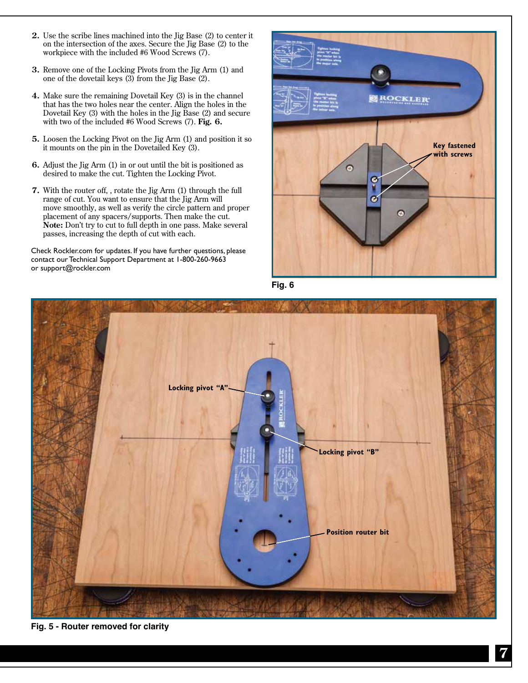- **2.** Use the scribe lines machined into the Jig Base (2) to center it on the intersection of the axes. Secure the Jig Base (2) to the workpiece with the included #6 Wood Screws (7).
- **3.** Remove one of the Locking Pivots from the Jig Arm (1) and one of the dovetail keys (3) from the Jig Base (2).
- **4.** Make sure the remaining Dovetail Key (3) is in the channel that has the two holes near the center. Align the holes in the Dovetail Key (3) with the holes in the Jig Base (2) and secure with two of the included #6 Wood Screws (7). **Fig. 6.**
- **5.** Loosen the Locking Pivot on the Jig Arm (1) and position it so it mounts on the pin in the Dovetailed Key (3).
- **6.** Adjust the Jig Arm (1) in or out until the bit is positioned as desired to make the cut. Tighten the Locking Pivot.
- **7.** With the router off, , rotate the Jig Arm (1) through the full range of cut. You want to ensure that the Jig Arm will move smoothly, as well as verify the circle pattern and proper placement of any spacers/supports. Then make the cut. **Note:** Don't try to cut to full depth in one pass. Make several passes, increasing the depth of cut with each.

Check Rockler.com for updates. If you have further questions, please contact our Technical Support Department at 1-800-260-9663 or support@rockler.com



**Fig. 6**



**Fig. 5 - Router removed for clarity**